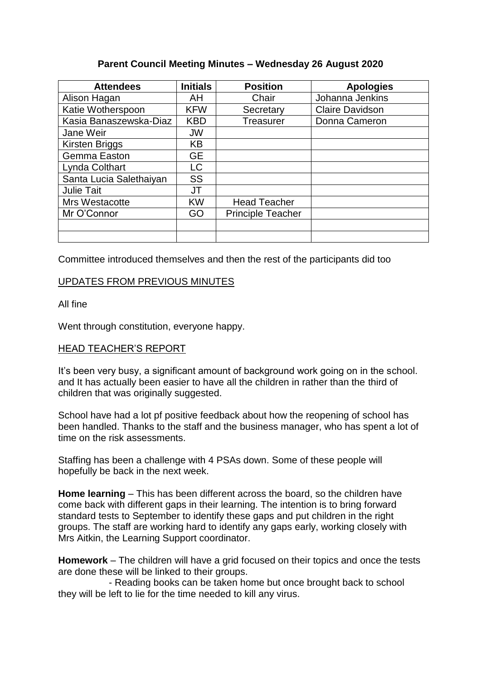## **Parent Council Meeting Minutes – Wednesday 26 August 2020**

| <b>Attendees</b>        | <b>Initials</b> | <b>Position</b>          | <b>Apologies</b>       |  |
|-------------------------|-----------------|--------------------------|------------------------|--|
| Alison Hagan            | AH              | Chair                    | Johanna Jenkins        |  |
| Katie Wotherspoon       | <b>KFW</b>      | Secretary                | <b>Claire Davidson</b> |  |
| Kasia Banaszewska-Diaz  | <b>KBD</b>      | <b>Treasurer</b>         | Donna Cameron          |  |
| Jane Weir               | <b>JW</b>       |                          |                        |  |
| <b>Kirsten Briggs</b>   | KB              |                          |                        |  |
| Gemma Easton            | <b>GE</b>       |                          |                        |  |
| Lynda Colthart          | LC              |                          |                        |  |
| Santa Lucia Salethaiyan | <b>SS</b>       |                          |                        |  |
| <b>Julie Tait</b>       | JT              |                          |                        |  |
| Mrs Westacotte          | <b>KW</b>       | <b>Head Teacher</b>      |                        |  |
| Mr O'Connor             | GO              | <b>Principle Teacher</b> |                        |  |
|                         |                 |                          |                        |  |
|                         |                 |                          |                        |  |

Committee introduced themselves and then the rest of the participants did too

## UPDATES FROM PREVIOUS MINUTES

All fine

Went through constitution, everyone happy.

## HEAD TEACHER'S REPORT

It's been very busy, a significant amount of background work going on in the school. and It has actually been easier to have all the children in rather than the third of children that was originally suggested.

School have had a lot pf positive feedback about how the reopening of school has been handled. Thanks to the staff and the business manager, who has spent a lot of time on the risk assessments.

Staffing has been a challenge with 4 PSAs down. Some of these people will hopefully be back in the next week.

**Home learning** – This has been different across the board, so the children have come back with different gaps in their learning. The intention is to bring forward standard tests to September to identify these gaps and put children in the right groups. The staff are working hard to identify any gaps early, working closely with Mrs Aitkin, the Learning Support coordinator.

**Homework** – The children will have a grid focused on their topics and once the tests are done these will be linked to their groups.

 - Reading books can be taken home but once brought back to school they will be left to lie for the time needed to kill any virus.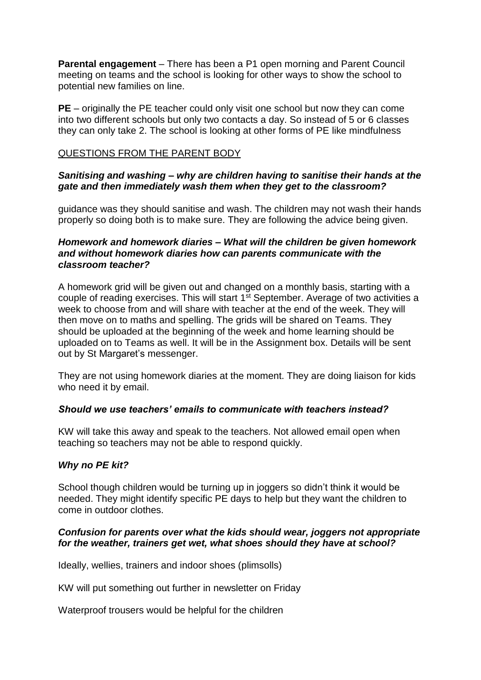**Parental engagement** – There has been a P1 open morning and Parent Council meeting on teams and the school is looking for other ways to show the school to potential new families on line.

**PE** – originally the PE teacher could only visit one school but now they can come into two different schools but only two contacts a day. So instead of 5 or 6 classes they can only take 2. The school is looking at other forms of PE like mindfulness

#### QUESTIONS FROM THE PARENT BODY

## *Sanitising and washing – why are children having to sanitise their hands at the gate and then immediately wash them when they get to the classroom?*

guidance was they should sanitise and wash. The children may not wash their hands properly so doing both is to make sure. They are following the advice being given.

#### *Homework and homework diaries – What will the children be given homework and without homework diaries how can parents communicate with the classroom teacher?*

A homework grid will be given out and changed on a monthly basis, starting with a couple of reading exercises. This will start  $1<sup>st</sup>$  September. Average of two activities a week to choose from and will share with teacher at the end of the week. They will then move on to maths and spelling. The grids will be shared on Teams. They should be uploaded at the beginning of the week and home learning should be uploaded on to Teams as well. It will be in the Assignment box. Details will be sent out by St Margaret's messenger.

They are not using homework diaries at the moment. They are doing liaison for kids who need it by email.

## *Should we use teachers' emails to communicate with teachers instead?*

KW will take this away and speak to the teachers. Not allowed email open when teaching so teachers may not be able to respond quickly.

## *Why no PE kit?*

School though children would be turning up in joggers so didn't think it would be needed. They might identify specific PE days to help but they want the children to come in outdoor clothes.

## *Confusion for parents over what the kids should wear, joggers not appropriate for the weather, trainers get wet, what shoes should they have at school?*

Ideally, wellies, trainers and indoor shoes (plimsolls)

KW will put something out further in newsletter on Friday

Waterproof trousers would be helpful for the children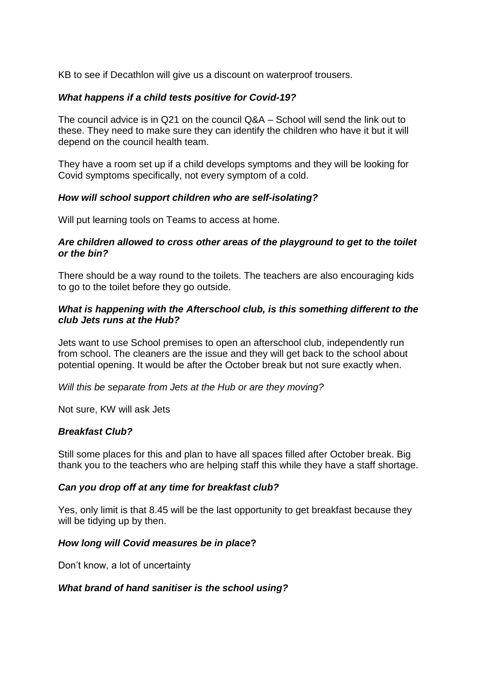KB to see if Decathlon will give us a discount on waterproof trousers.

## *What happens if a child tests positive for Covid-19?*

The council advice is in Q21 on the council Q&A – School will send the link out to these. They need to make sure they can identify the children who have it but it will depend on the council health team.

They have a room set up if a child develops symptoms and they will be looking for Covid symptoms specifically, not every symptom of a cold.

#### *How will school support children who are self-isolating?*

Will put learning tools on Teams to access at home.

#### *Are children allowed to cross other areas of the playground to get to the toilet or the bin?*

There should be a way round to the toilets. The teachers are also encouraging kids to go to the toilet before they go outside.

## *What is happening with the Afterschool club, is this something different to the club Jets runs at the Hub?*

Jets want to use School premises to open an afterschool club, independently run from school. The cleaners are the issue and they will get back to the school about potential opening. It would be after the October break but not sure exactly when.

*Will this be separate from Jets at the Hub or are they moving?*

Not sure, KW will ask Jets

## *Breakfast Club?*

Still some places for this and plan to have all spaces filled after October break. Big thank you to the teachers who are helping staff this while they have a staff shortage.

## *Can you drop off at any time for breakfast club?*

Yes, only limit is that 8.45 will be the last opportunity to get breakfast because they will be tidying up by then.

## *How long will Covid measures be in place***?**

Don't know, a lot of uncertainty

#### *What brand of hand sanitiser is the school using?*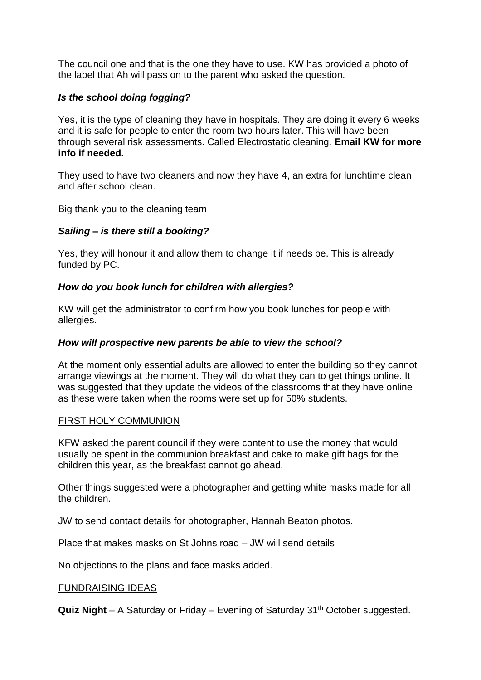The council one and that is the one they have to use. KW has provided a photo of the label that Ah will pass on to the parent who asked the question.

# *Is the school doing fogging?*

Yes, it is the type of cleaning they have in hospitals. They are doing it every 6 weeks and it is safe for people to enter the room two hours later. This will have been through several risk assessments. Called Electrostatic cleaning. **Email KW for more info if needed.**

They used to have two cleaners and now they have 4, an extra for lunchtime clean and after school clean.

Big thank you to the cleaning team

# *Sailing – is there still a booking?*

Yes, they will honour it and allow them to change it if needs be. This is already funded by PC.

# *How do you book lunch for children with allergies?*

KW will get the administrator to confirm how you book lunches for people with allergies.

## *How will prospective new parents be able to view the school?*

At the moment only essential adults are allowed to enter the building so they cannot arrange viewings at the moment. They will do what they can to get things online. It was suggested that they update the videos of the classrooms that they have online as these were taken when the rooms were set up for 50% students.

# FIRST HOLY COMMUNION

KFW asked the parent council if they were content to use the money that would usually be spent in the communion breakfast and cake to make gift bags for the children this year, as the breakfast cannot go ahead.

Other things suggested were a photographer and getting white masks made for all the children.

JW to send contact details for photographer, Hannah Beaton photos.

Place that makes masks on St Johns road – JW will send details

No objections to the plans and face masks added.

## FUNDRAISING IDEAS

**Quiz Night** – A Saturday or Friday – Evening of Saturday 31<sup>th</sup> October suggested.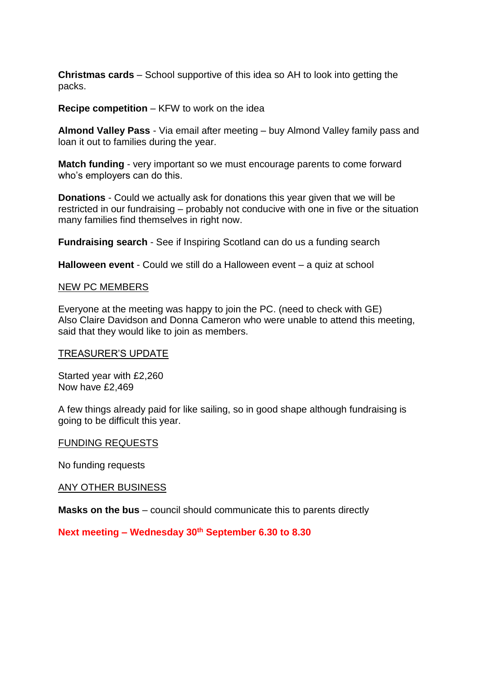**Christmas cards** – School supportive of this idea so AH to look into getting the packs.

**Recipe competition** – KFW to work on the idea

**Almond Valley Pass** - Via email after meeting – buy Almond Valley family pass and loan it out to families during the year.

**Match funding** - very important so we must encourage parents to come forward who's employers can do this.

**Donations** - Could we actually ask for donations this year given that we will be restricted in our fundraising – probably not conducive with one in five or the situation many families find themselves in right now.

**Fundraising search** - See if Inspiring Scotland can do us a funding search

**Halloween event** - Could we still do a Halloween event – a quiz at school

#### NEW PC MEMBERS

Everyone at the meeting was happy to join the PC. (need to check with GE) Also Claire Davidson and Donna Cameron who were unable to attend this meeting, said that they would like to join as members.

#### TREASURER'S UPDATE

Started year with £2,260 Now have £2,469

A few things already paid for like sailing, so in good shape although fundraising is going to be difficult this year.

#### FUNDING REQUESTS

No funding requests

#### ANY OTHER BUSINESS

**Masks on the bus** – council should communicate this to parents directly

**Next meeting – Wednesday 30th September 6.30 to 8.30**